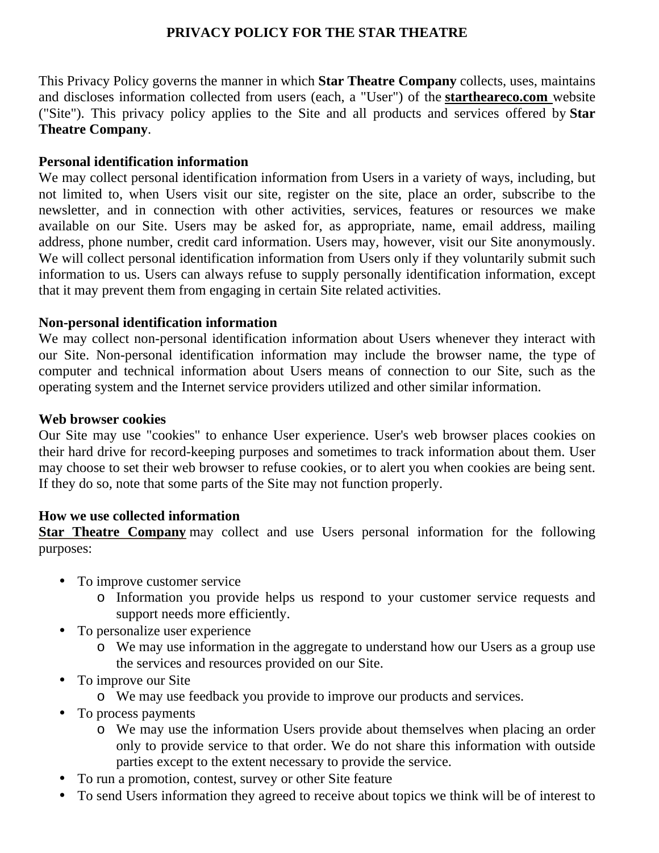## **PRIVACY POLICY FOR THE STAR THEATRE**

This Privacy Policy governs the manner in which **Star Theatre Company** collects, uses, maintains and discloses information collected from users (each, a "User") of the **startheareco.com** website ("Site"). This privacy policy applies to the Site and all products and services offered by **Star Theatre Company**.

#### **Personal identification information**

We may collect personal identification information from Users in a variety of ways, including, but not limited to, when Users visit our site, register on the site, place an order, subscribe to the newsletter, and in connection with other activities, services, features or resources we make available on our Site. Users may be asked for, as appropriate, name, email address, mailing address, phone number, credit card information. Users may, however, visit our Site anonymously. We will collect personal identification information from Users only if they voluntarily submit such information to us. Users can always refuse to supply personally identification information, except that it may prevent them from engaging in certain Site related activities.

#### **Non-personal identification information**

We may collect non-personal identification information about Users whenever they interact with our Site. Non-personal identification information may include the browser name, the type of computer and technical information about Users means of connection to our Site, such as the operating system and the Internet service providers utilized and other similar information.

#### **Web browser cookies**

Our Site may use "cookies" to enhance User experience. User's web browser places cookies on their hard drive for record-keeping purposes and sometimes to track information about them. User may choose to set their web browser to refuse cookies, or to alert you when cookies are being sent. If they do so, note that some parts of the Site may not function properly.

#### **How we use collected information**

**Star Theatre Company** may collect and use Users personal information for the following purposes:

- To improve customer service
	- o Information you provide helps us respond to your customer service requests and support needs more efficiently.
- To personalize user experience
	- o We may use information in the aggregate to understand how our Users as a group use the services and resources provided on our Site.
- To improve our Site
	- o We may use feedback you provide to improve our products and services.
- To process payments
	- o We may use the information Users provide about themselves when placing an order only to provide service to that order. We do not share this information with outside parties except to the extent necessary to provide the service.
- To run a promotion, contest, survey or other Site feature
- To send Users information they agreed to receive about topics we think will be of interest to